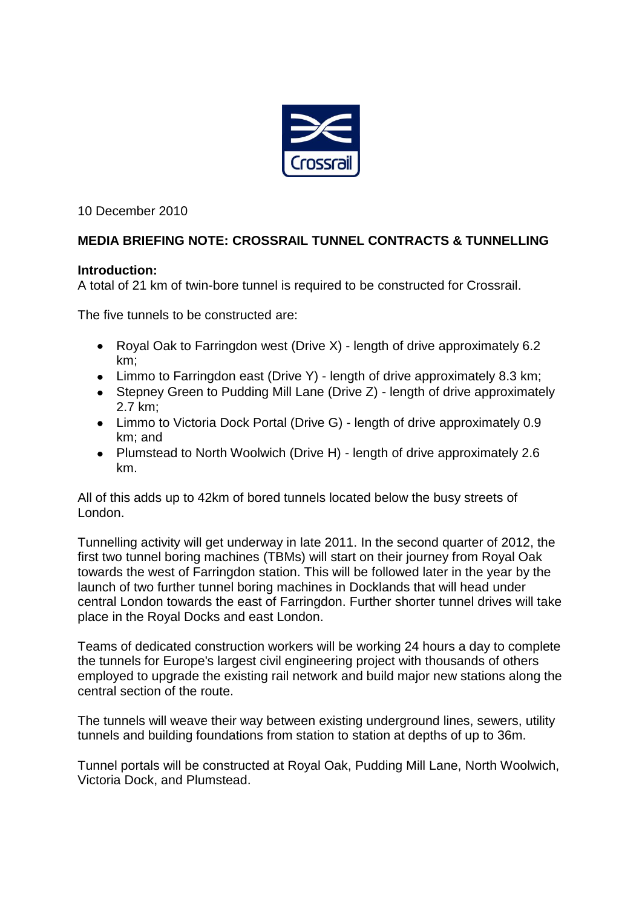

10 December 2010

# **MEDIA BRIEFING NOTE: CROSSRAIL TUNNEL CONTRACTS & TUNNELLING**

### **Introduction:**

A total of 21 km of twin-bore tunnel is required to be constructed for Crossrail.

The five tunnels to be constructed are:

- Royal Oak to Farringdon west (Drive X) length of drive approximately 6.2  $\bullet$ km;
- Limmo to Farringdon east (Drive Y) length of drive approximately 8.3 km;
- Stepney Green to Pudding Mill Lane (Drive Z) length of drive approximately 2.7 km;
- Limmo to Victoria Dock Portal (Drive G) length of drive approximately 0.9 km; and
- Plumstead to North Woolwich (Drive H) length of drive approximately 2.6 km.

All of this adds up to 42km of bored tunnels located below the busy streets of London.

Tunnelling activity will get underway in late 2011. In the second quarter of 2012, the first two tunnel boring machines (TBMs) will start on their journey from Royal Oak towards the west of Farringdon station. This will be followed later in the year by the launch of two further tunnel boring machines in Docklands that will head under central London towards the east of Farringdon. Further shorter tunnel drives will take place in the Royal Docks and east London.

Teams of dedicated construction workers will be working 24 hours a day to complete the tunnels for Europe's largest civil engineering project with thousands of others employed to upgrade the existing rail network and build major new stations along the central section of the route.

The tunnels will weave their way between existing underground lines, sewers, utility tunnels and building foundations from station to station at depths of up to 36m.

Tunnel portals will be constructed at Royal Oak, Pudding Mill Lane, North Woolwich, Victoria Dock, and Plumstead.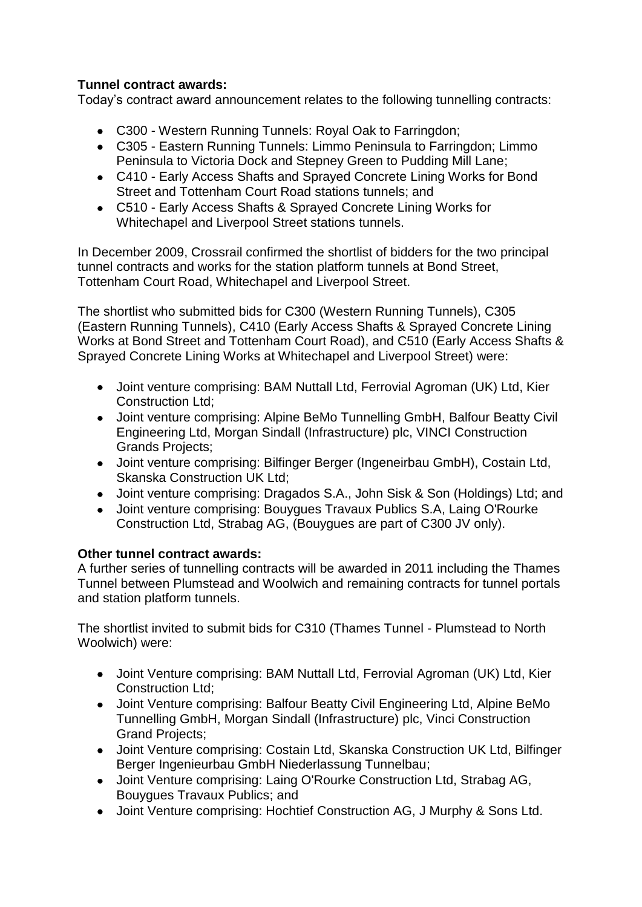## **Tunnel contract awards:**

Today's contract award announcement relates to the following tunnelling contracts:

- C300 Western Running Tunnels: Royal Oak to Farringdon;
- C305 Eastern Running Tunnels: Limmo Peninsula to Farringdon; Limmo Peninsula to Victoria Dock and Stepney Green to Pudding Mill Lane;
- C410 Early Access Shafts and Sprayed Concrete Lining Works for Bond Street and Tottenham Court Road stations tunnels; and
- C510 Early Access Shafts & Sprayed Concrete Lining Works for Whitechapel and Liverpool Street stations tunnels.

In December 2009, Crossrail confirmed the shortlist of bidders for the two principal tunnel contracts and works for the station platform tunnels at Bond Street, Tottenham Court Road, Whitechapel and Liverpool Street.

The shortlist who submitted bids for C300 (Western Running Tunnels), C305 (Eastern Running Tunnels), C410 (Early Access Shafts & Sprayed Concrete Lining Works at Bond Street and Tottenham Court Road), and C510 (Early Access Shafts & Sprayed Concrete Lining Works at Whitechapel and Liverpool Street) were:

- Joint venture comprising: BAM Nuttall Ltd, Ferrovial Agroman (UK) Ltd, Kier Construction Ltd;
- Joint venture comprising: Alpine BeMo Tunnelling GmbH, Balfour Beatty Civil Engineering Ltd, Morgan Sindall (Infrastructure) plc, VINCI Construction Grands Projects;
- Joint venture comprising: Bilfinger Berger (Ingeneirbau GmbH), Costain Ltd, Skanska Construction UK Ltd;
- Joint venture comprising: Dragados S.A., John Sisk & Son (Holdings) Ltd; and
- Joint venture comprising: Bouygues Travaux Publics S.A, Laing O'Rourke Construction Ltd, Strabag AG, (Bouygues are part of C300 JV only).

## **Other tunnel contract awards:**

A further series of tunnelling contracts will be awarded in 2011 including the Thames Tunnel between Plumstead and Woolwich and remaining contracts for tunnel portals and station platform tunnels.

The shortlist invited to submit bids for C310 (Thames Tunnel - Plumstead to North Woolwich) were:

- Joint Venture comprising: BAM Nuttall Ltd, Ferrovial Agroman (UK) Ltd, Kier Construction Ltd;
- Joint Venture comprising: Balfour Beatty Civil Engineering Ltd, Alpine BeMo Tunnelling GmbH, Morgan Sindall (Infrastructure) plc, Vinci Construction Grand Projects;
- Joint Venture comprising: Costain Ltd, Skanska Construction UK Ltd, Bilfinger Berger Ingenieurbau GmbH Niederlassung Tunnelbau;
- Joint Venture comprising: Laing O'Rourke Construction Ltd, Strabag AG, Bouygues Travaux Publics; and
- Joint Venture comprising: Hochtief Construction AG, J Murphy & Sons Ltd.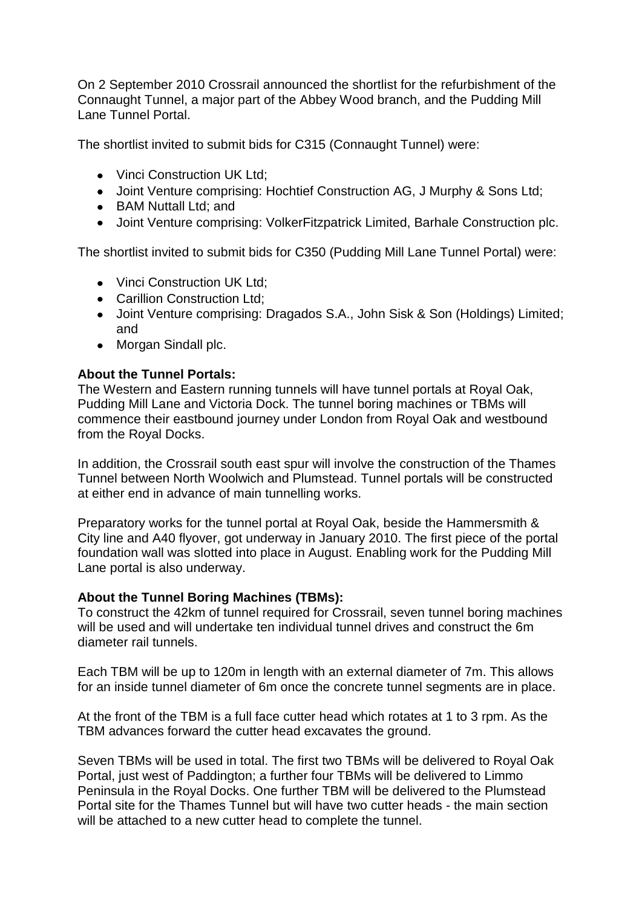On 2 September 2010 Crossrail announced the shortlist for the refurbishment of the Connaught Tunnel, a major part of the Abbey Wood branch, and the Pudding Mill Lane Tunnel Portal.

The shortlist invited to submit bids for C315 (Connaught Tunnel) were:

- Vinci Construction UK Ltd:
- Joint Venture comprising: Hochtief Construction AG, J Murphy & Sons Ltd;
- BAM Nuttall Ltd; and
- Joint Venture comprising: VolkerFitzpatrick Limited, Barhale Construction plc.

The shortlist invited to submit bids for C350 (Pudding Mill Lane Tunnel Portal) were:

- Vinci Construction UK Ltd;
- Carillion Construction Ltd;
- Joint Venture comprising: Dragados S.A., John Sisk & Son (Holdings) Limited; and
- Morgan Sindall plc.

### **About the Tunnel Portals:**

The Western and Eastern running tunnels will have tunnel portals at Royal Oak, Pudding Mill Lane and Victoria Dock. The tunnel boring machines or TBMs will commence their eastbound journey under London from Royal Oak and westbound from the Royal Docks.

In addition, the Crossrail south east spur will involve the construction of the Thames Tunnel between North Woolwich and Plumstead. Tunnel portals will be constructed at either end in advance of main tunnelling works.

Preparatory works for the tunnel portal at Royal Oak, beside the Hammersmith & City line and A40 flyover, got underway in January 2010. The first piece of the portal foundation wall was slotted into place in August. Enabling work for the Pudding Mill Lane portal is also underway.

### **About the Tunnel Boring Machines (TBMs):**

To construct the 42km of tunnel required for Crossrail, seven tunnel boring machines will be used and will undertake ten individual tunnel drives and construct the 6m diameter rail tunnels.

Each TBM will be up to 120m in length with an external diameter of 7m. This allows for an inside tunnel diameter of 6m once the concrete tunnel segments are in place.

At the front of the TBM is a full face cutter head which rotates at 1 to 3 rpm. As the TBM advances forward the cutter head excavates the ground.

Seven TBMs will be used in total. The first two TBMs will be delivered to Royal Oak Portal, just west of Paddington; a further four TBMs will be delivered to Limmo Peninsula in the Royal Docks. One further TBM will be delivered to the Plumstead Portal site for the Thames Tunnel but will have two cutter heads - the main section will be attached to a new cutter head to complete the tunnel.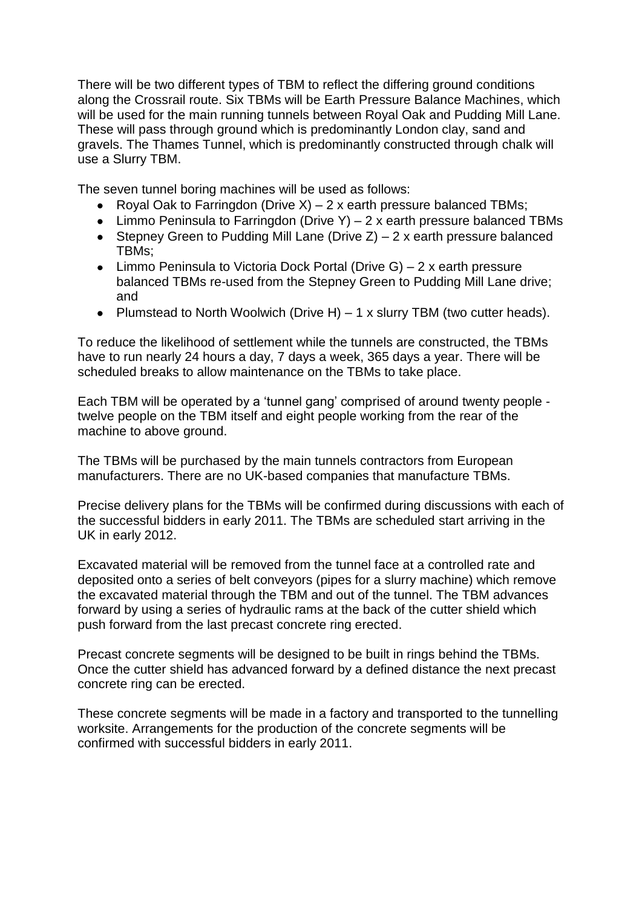There will be two different types of TBM to reflect the differing ground conditions along the Crossrail route. Six TBMs will be Earth Pressure Balance Machines, which will be used for the main running tunnels between Royal Oak and Pudding Mill Lane. These will pass through ground which is predominantly London clay, sand and gravels. The Thames Tunnel, which is predominantly constructed through chalk will use a Slurry TBM.

The seven tunnel boring machines will be used as follows:

- Royal Oak to Farringdon (Drive  $X$ ) 2 x earth pressure balanced TBMs;
- Limmo Peninsula to Farringdon (Drive Y)  $-2x$  earth pressure balanced TBMs
- Stepney Green to Pudding Mill Lane (Drive  $Z$ ) 2 x earth pressure balanced TBMs;
- Limmo Peninsula to Victoria Dock Portal (Drive G) 2 x earth pressure balanced TBMs re-used from the Stepney Green to Pudding Mill Lane drive; and
- Plumstead to North Woolwich (Drive H)  $-1$  x slurry TBM (two cutter heads).

To reduce the likelihood of settlement while the tunnels are constructed, the TBMs have to run nearly 24 hours a day, 7 days a week, 365 days a year. There will be scheduled breaks to allow maintenance on the TBMs to take place.

Each TBM will be operated by a 'tunnel gang' comprised of around twenty people twelve people on the TBM itself and eight people working from the rear of the machine to above ground.

The TBMs will be purchased by the main tunnels contractors from European manufacturers. There are no UK-based companies that manufacture TBMs.

Precise delivery plans for the TBMs will be confirmed during discussions with each of the successful bidders in early 2011. The TBMs are scheduled start arriving in the UK in early 2012.

Excavated material will be removed from the tunnel face at a controlled rate and deposited onto a series of belt conveyors (pipes for a slurry machine) which remove the excavated material through the TBM and out of the tunnel. The TBM advances forward by using a series of hydraulic rams at the back of the cutter shield which push forward from the last precast concrete ring erected.

Precast concrete segments will be designed to be built in rings behind the TBMs. Once the cutter shield has advanced forward by a defined distance the next precast concrete ring can be erected.

These concrete segments will be made in a factory and transported to the tunnelling worksite. Arrangements for the production of the concrete segments will be confirmed with successful bidders in early 2011.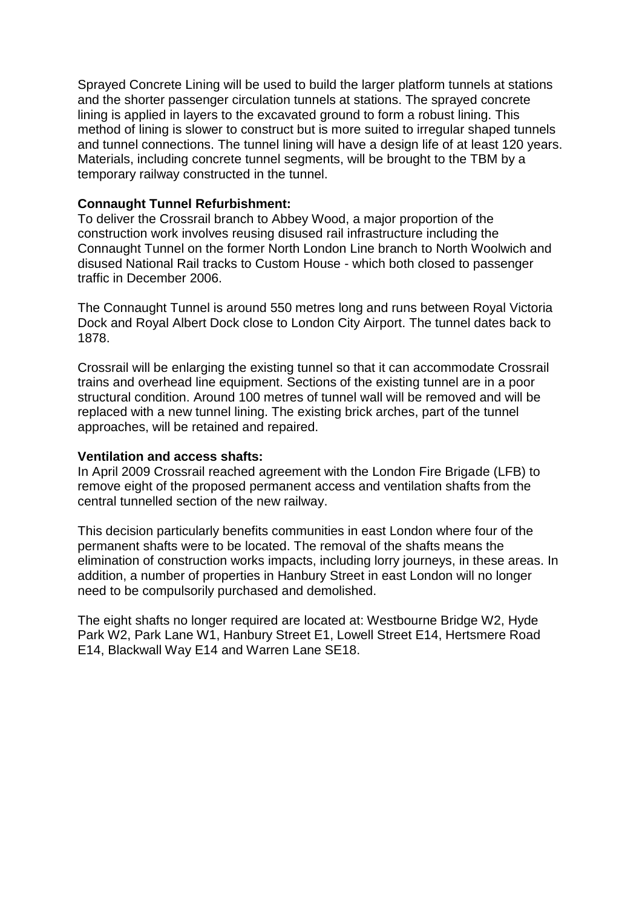Sprayed Concrete Lining will be used to build the larger platform tunnels at stations and the shorter passenger circulation tunnels at stations. The sprayed concrete lining is applied in layers to the excavated ground to form a robust lining. This method of lining is slower to construct but is more suited to irregular shaped tunnels and tunnel connections. The tunnel lining will have a design life of at least 120 years. Materials, including concrete tunnel segments, will be brought to the TBM by a temporary railway constructed in the tunnel.

#### **Connaught Tunnel Refurbishment:**

To deliver the Crossrail branch to Abbey Wood, a major proportion of the construction work involves reusing disused rail infrastructure including the Connaught Tunnel on the former North London Line branch to North Woolwich and disused National Rail tracks to Custom House - which both closed to passenger traffic in December 2006.

The Connaught Tunnel is around 550 metres long and runs between Royal Victoria Dock and Royal Albert Dock close to London City Airport. The tunnel dates back to 1878.

Crossrail will be enlarging the existing tunnel so that it can accommodate Crossrail trains and overhead line equipment. Sections of the existing tunnel are in a poor structural condition. Around 100 metres of tunnel wall will be removed and will be replaced with a new tunnel lining. The existing brick arches, part of the tunnel approaches, will be retained and repaired.

#### **Ventilation and access shafts:**

In April 2009 Crossrail reached agreement with the London Fire Brigade (LFB) to remove eight of the proposed permanent access and ventilation shafts from the central tunnelled section of the new railway.

This decision particularly benefits communities in east London where four of the permanent shafts were to be located. The removal of the shafts means the elimination of construction works impacts, including lorry journeys, in these areas. In addition, a number of properties in Hanbury Street in east London will no longer need to be compulsorily purchased and demolished.

The eight shafts no longer required are located at: Westbourne Bridge W2, Hyde Park W2, Park Lane W1, Hanbury Street E1, Lowell Street E14, Hertsmere Road E14, Blackwall Way E14 and Warren Lane SE18.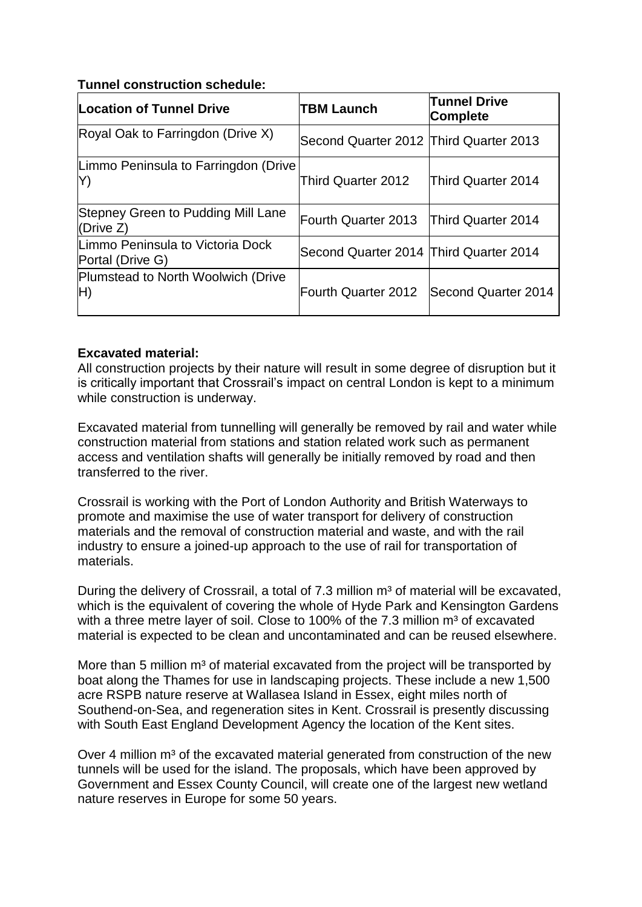## **Tunnel construction schedule:**

| Location of Tunnel Drive                             | <b>TBM Launch</b>                      | <b>Tunnel Drive</b><br>Complete |
|------------------------------------------------------|----------------------------------------|---------------------------------|
| Royal Oak to Farringdon (Drive X)                    | Second Quarter 2012 Third Quarter 2013 |                                 |
| Limmo Peninsula to Farringdon (Drive<br>Y)           | Third Quarter 2012                     | Third Quarter 2014              |
| Stepney Green to Pudding Mill Lane<br>(Drive $Z$ )   | Fourth Quarter 2013                    | <b>Third Quarter 2014</b>       |
| Limmo Peninsula to Victoria Dock<br>Portal (Drive G) | Second Quarter 2014 Third Quarter 2014 |                                 |
| Plumstead to North Woolwich (Drive<br>H)             | Fourth Quarter 2012                    | Second Quarter 2014             |

### **Excavated material:**

All construction projects by their nature will result in some degree of disruption but it is critically important that Crossrail's impact on central London is kept to a minimum while construction is underway.

Excavated material from tunnelling will generally be removed by rail and water while construction material from stations and station related work such as permanent access and ventilation shafts will generally be initially removed by road and then transferred to the river.

Crossrail is working with the Port of London Authority and British Waterways to promote and maximise the use of water transport for delivery of construction materials and the removal of construction material and waste, and with the rail industry to ensure a joined-up approach to the use of rail for transportation of materials.

During the delivery of Crossrail, a total of 7.3 million m<sup>3</sup> of material will be excavated, which is the equivalent of covering the whole of Hyde Park and Kensington Gardens with a three metre layer of soil. Close to 100% of the 7.3 million  $m<sup>3</sup>$  of excavated material is expected to be clean and uncontaminated and can be reused elsewhere.

More than 5 million  $m<sup>3</sup>$  of material excavated from the project will be transported by boat along the Thames for use in landscaping projects. These include a new 1,500 acre RSPB nature reserve at Wallasea Island in Essex, eight miles north of Southend-on-Sea, and regeneration sites in Kent. Crossrail is presently discussing with South East England Development Agency the location of the Kent sites.

Over 4 million m<sup>3</sup> of the excavated material generated from construction of the new tunnels will be used for the island. The proposals, which have been approved by Government and Essex County Council, will create one of the largest new wetland nature reserves in Europe for some 50 years.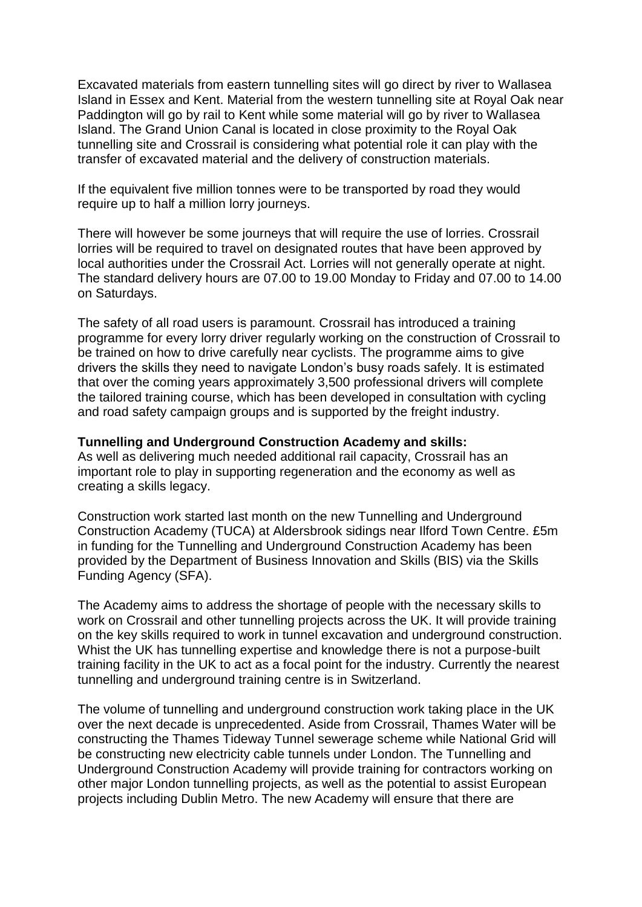Excavated materials from eastern tunnelling sites will go direct by river to Wallasea Island in Essex and Kent. Material from the western tunnelling site at Royal Oak near Paddington will go by rail to Kent while some material will go by river to Wallasea Island. The Grand Union Canal is located in close proximity to the Royal Oak tunnelling site and Crossrail is considering what potential role it can play with the transfer of excavated material and the delivery of construction materials.

If the equivalent five million tonnes were to be transported by road they would require up to half a million lorry journeys.

There will however be some journeys that will require the use of lorries. Crossrail lorries will be required to travel on designated routes that have been approved by local authorities under the Crossrail Act. Lorries will not generally operate at night. The standard delivery hours are 07.00 to 19.00 Monday to Friday and 07.00 to 14.00 on Saturdays.

The safety of all road users is paramount. Crossrail has introduced a training programme for every lorry driver regularly working on the construction of Crossrail to be trained on how to drive carefully near cyclists. The programme aims to give drivers the skills they need to navigate London's busy roads safely. It is estimated that over the coming years approximately 3,500 professional drivers will complete the tailored training course, which has been developed in consultation with cycling and road safety campaign groups and is supported by the freight industry.

#### **Tunnelling and Underground Construction Academy and skills:**

As well as delivering much needed additional rail capacity, Crossrail has an important role to play in supporting regeneration and the economy as well as creating a skills legacy.

Construction work started last month on the new Tunnelling and Underground Construction Academy (TUCA) at Aldersbrook sidings near Ilford Town Centre. £5m in funding for the Tunnelling and Underground Construction Academy has been provided by the Department of Business Innovation and Skills (BIS) via the Skills Funding Agency (SFA).

The Academy aims to address the shortage of people with the necessary skills to work on Crossrail and other tunnelling projects across the UK. It will provide training on the key skills required to work in tunnel excavation and underground construction. Whist the UK has tunnelling expertise and knowledge there is not a purpose-built training facility in the UK to act as a focal point for the industry. Currently the nearest tunnelling and underground training centre is in Switzerland.

The volume of tunnelling and underground construction work taking place in the UK over the next decade is unprecedented. Aside from Crossrail, Thames Water will be constructing the Thames Tideway Tunnel sewerage scheme while National Grid will be constructing new electricity cable tunnels under London. The Tunnelling and Underground Construction Academy will provide training for contractors working on other major London tunnelling projects, as well as the potential to assist European projects including Dublin Metro. The new Academy will ensure that there are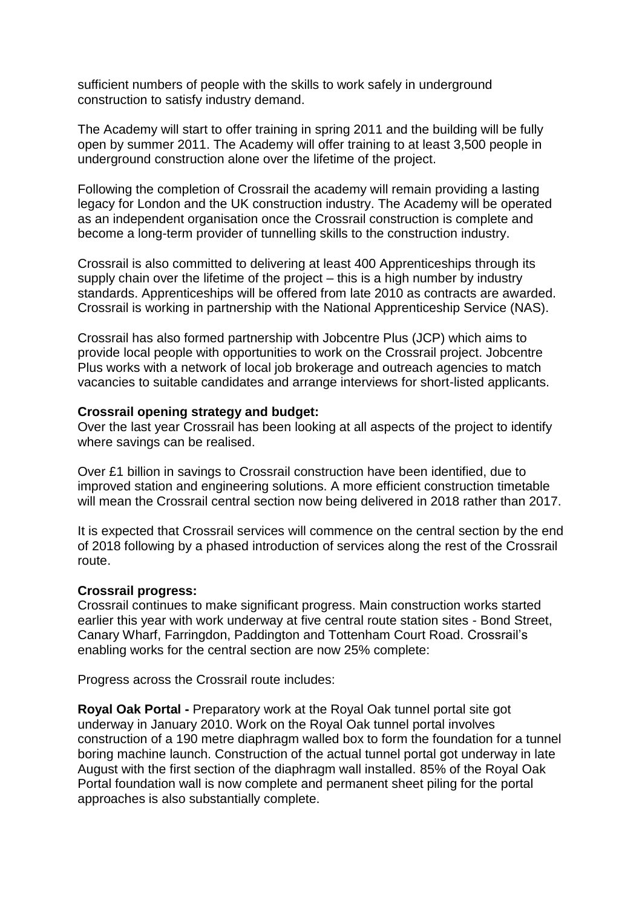sufficient numbers of people with the skills to work safely in underground construction to satisfy industry demand.

The Academy will start to offer training in spring 2011 and the building will be fully open by summer 2011. The Academy will offer training to at least 3,500 people in underground construction alone over the lifetime of the project.

Following the completion of Crossrail the academy will remain providing a lasting legacy for London and the UK construction industry. The Academy will be operated as an independent organisation once the Crossrail construction is complete and become a long-term provider of tunnelling skills to the construction industry.

Crossrail is also committed to delivering at least 400 Apprenticeships through its supply chain over the lifetime of the project – this is a high number by industry standards. Apprenticeships will be offered from late 2010 as contracts are awarded. Crossrail is working in partnership with the National Apprenticeship Service (NAS).

Crossrail has also formed partnership with Jobcentre Plus (JCP) which aims to provide local people with opportunities to work on the Crossrail project. Jobcentre Plus works with a network of local job brokerage and outreach agencies to match vacancies to suitable candidates and arrange interviews for short-listed applicants.

#### **Crossrail opening strategy and budget:**

Over the last year Crossrail has been looking at all aspects of the project to identify where savings can be realised.

Over £1 billion in savings to Crossrail construction have been identified, due to improved station and engineering solutions. A more efficient construction timetable will mean the Crossrail central section now being delivered in 2018 rather than 2017.

It is expected that Crossrail services will commence on the central section by the end of 2018 following by a phased introduction of services along the rest of the Crossrail route.

#### **Crossrail progress:**

Crossrail continues to make significant progress. Main construction works started earlier this year with work underway at five central route station sites - Bond Street, Canary Wharf, Farringdon, Paddington and Tottenham Court Road. Crossrail's enabling works for the central section are now 25% complete:

Progress across the Crossrail route includes:

**Royal Oak Portal -** Preparatory work at the Royal Oak tunnel portal site got underway in January 2010. Work on the Royal Oak tunnel portal involves construction of a 190 metre diaphragm walled box to form the foundation for a tunnel boring machine launch. Construction of the actual tunnel portal got underway in late August with the first section of the diaphragm wall installed. 85% of the Royal Oak Portal foundation wall is now complete and permanent sheet piling for the portal approaches is also substantially complete.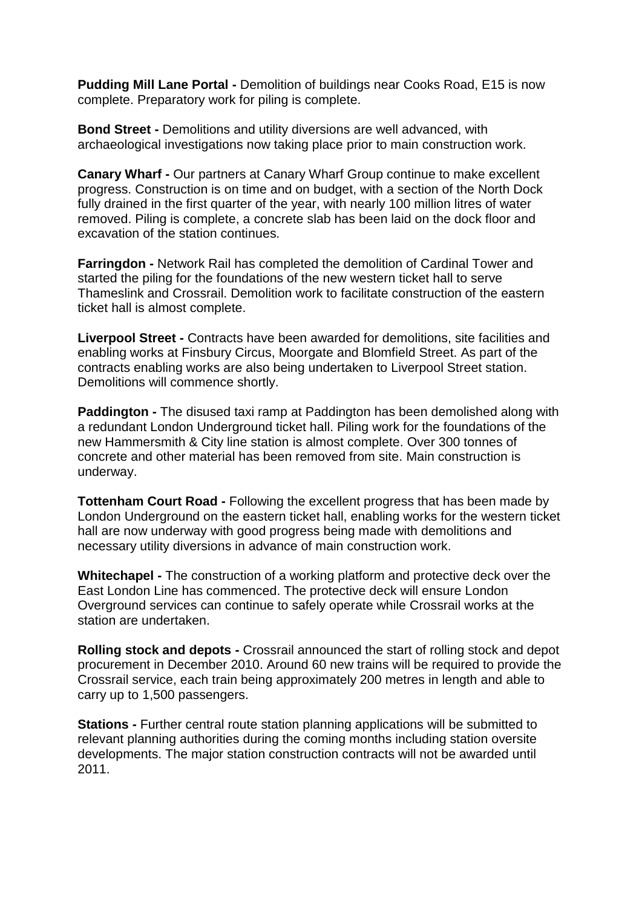**Pudding Mill Lane Portal -** Demolition of buildings near Cooks Road, E15 is now complete. Preparatory work for piling is complete.

**Bond Street -** Demolitions and utility diversions are well advanced, with archaeological investigations now taking place prior to main construction work.

**Canary Wharf -** Our partners at Canary Wharf Group continue to make excellent progress. Construction is on time and on budget, with a section of the North Dock fully drained in the first quarter of the year, with nearly 100 million litres of water removed. Piling is complete, a concrete slab has been laid on the dock floor and excavation of the station continues.

**Farringdon -** Network Rail has completed the demolition of Cardinal Tower and started the piling for the foundations of the new western ticket hall to serve Thameslink and Crossrail. Demolition work to facilitate construction of the eastern ticket hall is almost complete.

**Liverpool Street -** Contracts have been awarded for demolitions, site facilities and enabling works at Finsbury Circus, Moorgate and Blomfield Street. As part of the contracts enabling works are also being undertaken to Liverpool Street station. Demolitions will commence shortly.

**Paddington -** The disused taxi ramp at Paddington has been demolished along with a redundant London Underground ticket hall. Piling work for the foundations of the new Hammersmith & City line station is almost complete. Over 300 tonnes of concrete and other material has been removed from site. Main construction is underway.

**Tottenham Court Road -** Following the excellent progress that has been made by London Underground on the eastern ticket hall, enabling works for the western ticket hall are now underway with good progress being made with demolitions and necessary utility diversions in advance of main construction work.

**Whitechapel -** The construction of a working platform and protective deck over the East London Line has commenced. The protective deck will ensure London Overground services can continue to safely operate while Crossrail works at the station are undertaken.

**Rolling stock and depots -** Crossrail announced the start of rolling stock and depot procurement in December 2010. Around 60 new trains will be required to provide the Crossrail service, each train being approximately 200 metres in length and able to carry up to 1,500 passengers.

**Stations -** Further central route station planning applications will be submitted to relevant planning authorities during the coming months including station oversite developments. The major station construction contracts will not be awarded until 2011.